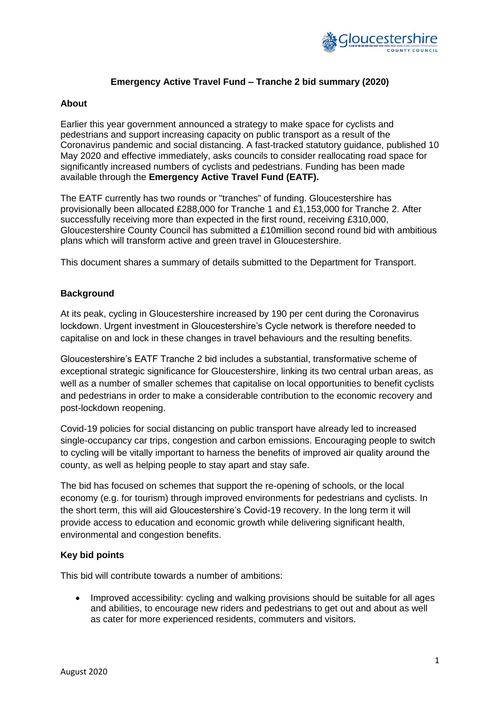

# **Emergency Active Travel Fund – Tranche 2 bid summary (2020)**

### **About**

Earlier this year government announced a strategy to make space for cyclists and pedestrians and support increasing capacity on public transport as a result of the Coronavirus pandemic and social distancing. A fast-tracked statutory guidance, published 10 May 2020 and effective immediately, asks councils to consider reallocating road space for significantly increased numbers of cyclists and pedestrians. Funding has been made available through the **Emergency Active Travel Fund (EATF).**

The EATF currently has two rounds or "tranches" of funding. Gloucestershire has provisionally been allocated £288,000 for Tranche 1 and £1,153,000 for Tranche 2. After successfully receiving more than expected in the first round, receiving £310,000, Gloucestershire County Council has submitted a £10million second round bid with ambitious plans which will transform active and green travel in Gloucestershire.

This document shares a summary of details submitted to the Department for Transport.

# **Background**

At its peak, cycling in Gloucestershire increased by 190 per cent during the Coronavirus lockdown. Urgent investment in Gloucestershire's Cycle network is therefore needed to capitalise on and lock in these changes in travel behaviours and the resulting benefits.

Gloucestershire's EATF Tranche 2 bid includes a substantial, transformative scheme of exceptional strategic significance for Gloucestershire, linking its two central urban areas, as well as a number of smaller schemes that capitalise on local opportunities to benefit cyclists and pedestrians in order to make a considerable contribution to the economic recovery and post-lockdown reopening.

Covid-19 policies for social distancing on public transport have already led to increased single-occupancy car trips, congestion and carbon emissions. Encouraging people to switch to cycling will be vitally important to harness the benefits of improved air quality around the county, as well as helping people to stay apart and stay safe.

The bid has focused on schemes that support the re-opening of schools, or the local economy (e.g. for tourism) through improved environments for pedestrians and cyclists. In the short term, this will aid Gloucestershire's Covid-19 recovery. In the long term it will provide access to education and economic growth while delivering significant health, environmental and congestion benefits.

### **Key bid points**

This bid will contribute towards a number of ambitions:

• Improved accessibility: cycling and walking provisions should be suitable for all ages and abilities, to encourage new riders and pedestrians to get out and about as well as cater for more experienced residents, commuters and visitors.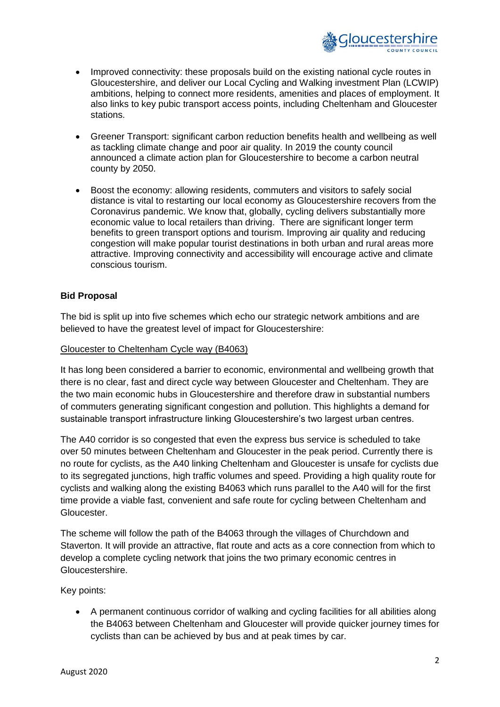

- Improved connectivity: these proposals build on the existing national cycle routes in Gloucestershire, and deliver our Local Cycling and Walking investment Plan (LCWIP) ambitions, helping to connect more residents, amenities and places of employment. It also links to key pubic transport access points, including Cheltenham and Gloucester stations.
- Greener Transport: significant carbon reduction benefits health and wellbeing as well as tackling climate change and poor air quality. In 2019 the county council announced a climate action plan for Gloucestershire to become a carbon neutral county by 2050.
- Boost the economy: allowing residents, commuters and visitors to safely social distance is vital to restarting our local economy as Gloucestershire recovers from the Coronavirus pandemic. We know that, globally, cycling delivers substantially more economic value to local retailers than driving. There are significant longer term benefits to green transport options and tourism. Improving air quality and reducing congestion will make popular tourist destinations in both urban and rural areas more attractive. Improving connectivity and accessibility will encourage active and climate conscious tourism.

# **Bid Proposal**

The bid is split up into five schemes which echo our strategic network ambitions and are believed to have the greatest level of impact for Gloucestershire:

### Gloucester to Cheltenham Cycle way (B4063)

It has long been considered a barrier to economic, environmental and wellbeing growth that there is no clear, fast and direct cycle way between Gloucester and Cheltenham. They are the two main economic hubs in Gloucestershire and therefore draw in substantial numbers of commuters generating significant congestion and pollution. This highlights a demand for sustainable transport infrastructure linking Gloucestershire's two largest urban centres.

The A40 corridor is so congested that even the express bus service is scheduled to take over 50 minutes between Cheltenham and Gloucester in the peak period. Currently there is no route for cyclists, as the A40 linking Cheltenham and Gloucester is unsafe for cyclists due to its segregated junctions, high traffic volumes and speed. Providing a high quality route for cyclists and walking along the existing B4063 which runs parallel to the A40 will for the first time provide a viable fast, convenient and safe route for cycling between Cheltenham and Gloucester.

The scheme will follow the path of the B4063 through the villages of Churchdown and Staverton. It will provide an attractive, flat route and acts as a core connection from which to develop a complete cycling network that joins the two primary economic centres in Gloucestershire.

Key points:

 A permanent continuous corridor of walking and cycling facilities for all abilities along the B4063 between Cheltenham and Gloucester will provide quicker journey times for cyclists than can be achieved by bus and at peak times by car.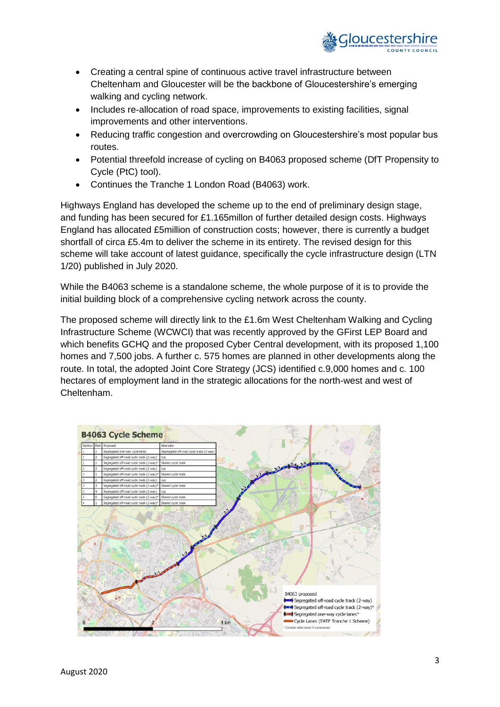

- Creating a central spine of continuous active travel infrastructure between Cheltenham and Gloucester will be the backbone of Gloucestershire's emerging walking and cycling network.
- Includes re-allocation of road space, improvements to existing facilities, signal improvements and other interventions.
- Reducing traffic congestion and overcrowding on Gloucestershire's most popular bus routes.
- Potential threefold increase of cycling on B4063 proposed scheme (DfT Propensity to Cycle (PtC) tool).
- Continues the Tranche 1 London Road (B4063) work.

Highways England has developed the scheme up to the end of preliminary design stage, and funding has been secured for £1.165millon of further detailed design costs. Highways England has allocated £5million of construction costs; however, there is currently a budget shortfall of circa £5.4m to deliver the scheme in its entirety. The revised design for this scheme will take account of latest guidance, specifically the cycle infrastructure design (LTN 1/20) published in July 2020.

While the B4063 scheme is a standalone scheme, the whole purpose of it is to provide the initial building block of a comprehensive cycling network across the county.

The proposed scheme will directly link to the £1.6m West Cheltenham Walking and Cycling Infrastructure Scheme (WCWCI) that was recently approved by the GFirst LEP Board and which benefits GCHQ and the proposed Cyber Central development, with its proposed 1,100 homes and 7,500 jobs. A further c. 575 homes are planned in other developments along the route. In total, the adopted Joint Core Strategy (JCS) identified c.9,000 homes and c. 100 hectares of employment land in the strategic allocations for the north-west and west of Cheltenham.

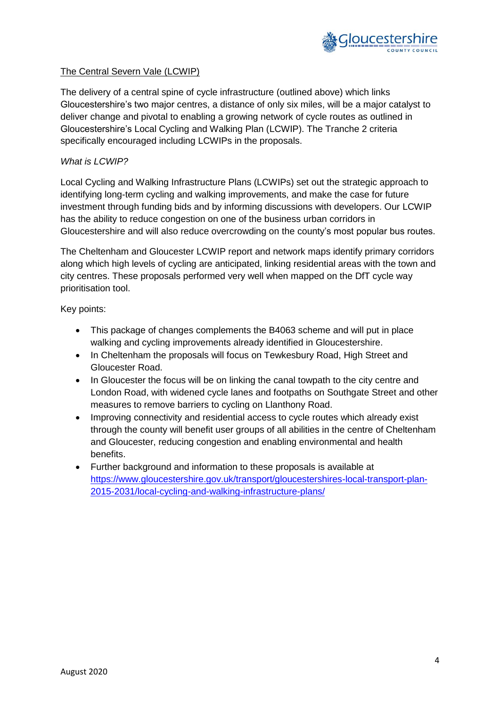

# The Central Severn Vale (LCWIP)

The delivery of a central spine of cycle infrastructure (outlined above) which links Gloucestershire's two major centres, a distance of only six miles, will be a major catalyst to deliver change and pivotal to enabling a growing network of cycle routes as outlined in Gloucestershire's Local Cycling and Walking Plan (LCWIP). The Tranche 2 criteria specifically encouraged including LCWIPs in the proposals.

# *What is LCWIP?*

Local Cycling and Walking Infrastructure Plans (LCWIPs) set out the strategic approach to identifying long-term cycling and walking improvements, and make the case for future investment through funding bids and by informing discussions with developers. Our LCWIP has the ability to reduce congestion on one of the business urban corridors in Gloucestershire and will also reduce overcrowding on the county's most popular bus routes.

The Cheltenham and Gloucester LCWIP report and network maps identify primary corridors along which high levels of cycling are anticipated, linking residential areas with the town and city centres. These proposals performed very well when mapped on the DfT cycle way prioritisation tool.

Key points:

- This package of changes complements the B4063 scheme and will put in place walking and cycling improvements already identified in Gloucestershire.
- In Cheltenham the proposals will focus on Tewkesbury Road, High Street and Gloucester Road.
- In Gloucester the focus will be on linking the canal towpath to the city centre and London Road, with widened cycle lanes and footpaths on Southgate Street and other measures to remove barriers to cycling on Llanthony Road.
- Improving connectivity and residential access to cycle routes which already exist through the county will benefit user groups of all abilities in the centre of Cheltenham and Gloucester, reducing congestion and enabling environmental and health benefits.
- Further background and information to these proposals is available at [https://www.gloucestershire.gov.uk/transport/gloucestershires-local-transport-plan-](https://www.gloucestershire.gov.uk/transport/gloucestershires-local-transport-plan-2015-2031/local-cycling-and-walking-infrastructure-plans/)[2015-2031/local-cycling-and-walking-infrastructure-plans/](https://www.gloucestershire.gov.uk/transport/gloucestershires-local-transport-plan-2015-2031/local-cycling-and-walking-infrastructure-plans/)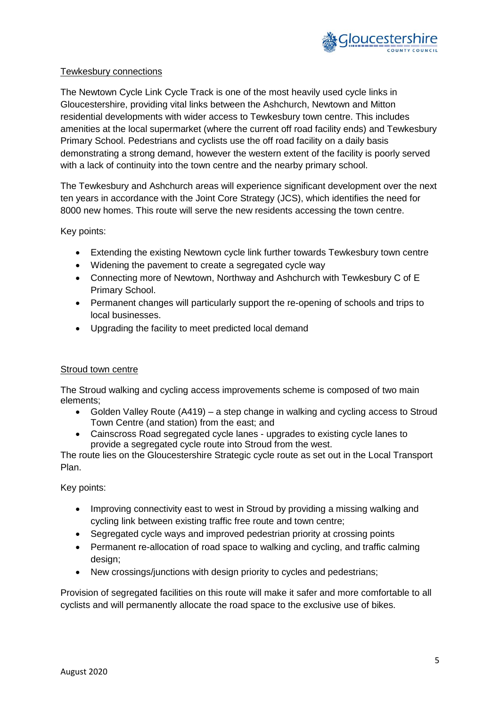

### Tewkesbury connections

The Newtown Cycle Link Cycle Track is one of the most heavily used cycle links in Gloucestershire, providing vital links between the Ashchurch, Newtown and Mitton residential developments with wider access to Tewkesbury town centre. This includes amenities at the local supermarket (where the current off road facility ends) and Tewkesbury Primary School. Pedestrians and cyclists use the off road facility on a daily basis demonstrating a strong demand, however the western extent of the facility is poorly served with a lack of continuity into the town centre and the nearby primary school.

The Tewkesbury and Ashchurch areas will experience significant development over the next ten years in accordance with the Joint Core Strategy (JCS), which identifies the need for 8000 new homes. This route will serve the new residents accessing the town centre.

### Key points:

- Extending the existing Newtown cycle link further towards Tewkesbury town centre
- Widening the pavement to create a segregated cycle way
- Connecting more of Newtown, Northway and Ashchurch with Tewkesbury C of E Primary School.
- Permanent changes will particularly support the re-opening of schools and trips to local businesses.
- Upgrading the facility to meet predicted local demand

# Stroud town centre

The Stroud walking and cycling access improvements scheme is composed of two main elements;

- Golden Valley Route (A419) a step change in walking and cycling access to Stroud Town Centre (and station) from the east; and
- Cainscross Road segregated cycle lanes upgrades to existing cycle lanes to provide a segregated cycle route into Stroud from the west.

The route lies on the Gloucestershire Strategic cycle route as set out in the Local Transport Plan.

Key points:

- Improving connectivity east to west in Stroud by providing a missing walking and cycling link between existing traffic free route and town centre;
- Segregated cycle ways and improved pedestrian priority at crossing points
- Permanent re-allocation of road space to walking and cycling, and traffic calming design:
- New crossings/junctions with design priority to cycles and pedestrians;

Provision of segregated facilities on this route will make it safer and more comfortable to all cyclists and will permanently allocate the road space to the exclusive use of bikes.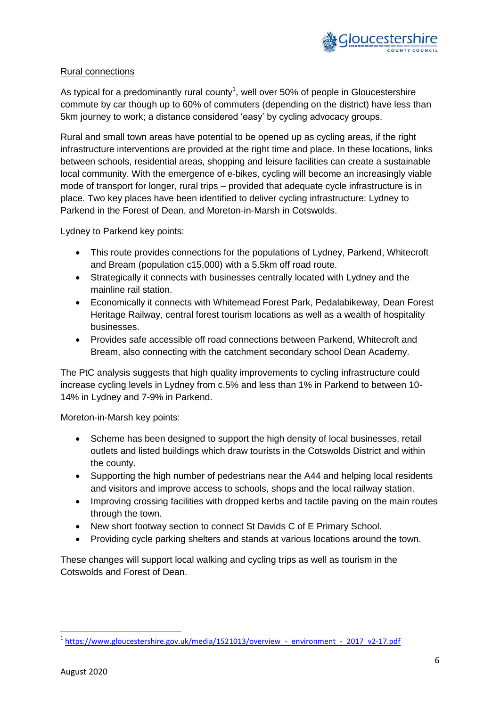

# Rural connections

As typical for a predominantly rural county<sup>1</sup>, well over 50% of people in Gloucestershire commute by car though up to 60% of commuters (depending on the district) have less than 5km journey to work; a distance considered 'easy' by cycling advocacy groups.

Rural and small town areas have potential to be opened up as cycling areas, if the right infrastructure interventions are provided at the right time and place. In these locations, links between schools, residential areas, shopping and leisure facilities can create a sustainable local community. With the emergence of e-bikes, cycling will become an increasingly viable mode of transport for longer, rural trips – provided that adequate cycle infrastructure is in place. Two key places have been identified to deliver cycling infrastructure: Lydney to Parkend in the Forest of Dean, and Moreton-in-Marsh in Cotswolds.

Lydney to Parkend key points:

- This route provides connections for the populations of Lydney, Parkend, Whitecroft and Bream (population c15,000) with a 5.5km off road route.
- Strategically it connects with businesses centrally located with Lydney and the mainline rail station.
- Economically it connects with Whitemead Forest Park, Pedalabikeway, Dean Forest Heritage Railway, central forest tourism locations as well as a wealth of hospitality businesses.
- Provides safe accessible off road connections between Parkend, Whitecroft and Bream, also connecting with the catchment secondary school Dean Academy.

The PtC analysis suggests that high quality improvements to cycling infrastructure could increase cycling levels in Lydney from c.5% and less than 1% in Parkend to between 10- 14% in Lydney and 7-9% in Parkend.

Moreton-in-Marsh key points:

- Scheme has been designed to support the high density of local businesses, retail outlets and listed buildings which draw tourists in the Cotswolds District and within the county.
- Supporting the high number of pedestrians near the A44 and helping local residents and visitors and improve access to schools, shops and the local railway station.
- Improving crossing facilities with dropped kerbs and tactile paving on the main routes through the town.
- New short footway section to connect St Davids C of E Primary School.
- Providing cycle parking shelters and stands at various locations around the town.

These changes will support local walking and cycling trips as well as tourism in the Cotswolds and Forest of Dean.

**<sup>.</sup>** <sup>1</sup>[https://www.gloucestershire.gov.uk/media/1521013/overview\\_-\\_environment\\_-\\_2017\\_v2-17.pdf](https://www.gloucestershire.gov.uk/media/1521013/overview_-_environment_-_2017_v2-17.pdf)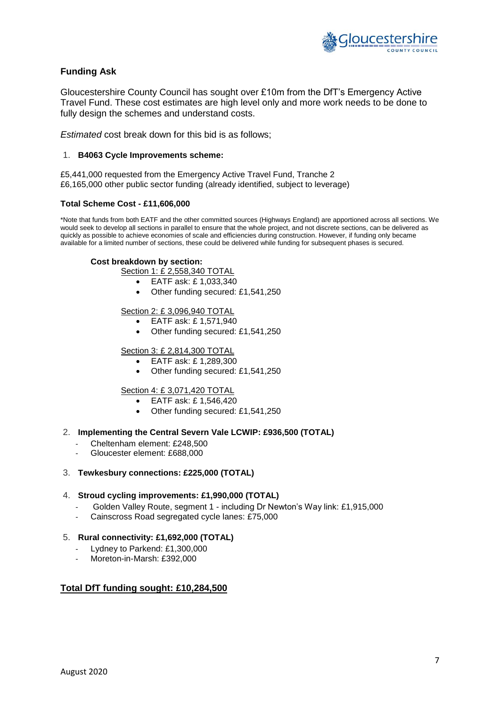

### **Funding Ask**

Gloucestershire County Council has sought over £10m from the DfT's Emergency Active Travel Fund. These cost estimates are high level only and more work needs to be done to fully design the schemes and understand costs.

*Estimated* cost break down for this bid is as follows;

#### 1. **B4063 Cycle Improvements scheme:**

£5,441,000 requested from the Emergency Active Travel Fund, Tranche 2 £6,165,000 other public sector funding (already identified, subject to leverage)

#### **Total Scheme Cost - £11,606,000**

\*Note that funds from both EATF and the other committed sources (Highways England) are apportioned across all sections. We would seek to develop all sections in parallel to ensure that the whole project, and not discrete sections, can be delivered as quickly as possible to achieve economies of scale and efficiencies during construction. However, if funding only became available for a limited number of sections, these could be delivered while funding for subsequent phases is secured.

#### **Cost breakdown by section:**

Section 1: £ 2,558,340 TOTAL

- EATF ask: £ 1,033,340
- Other funding secured: £1,541,250

#### Section 2: £ 3,096,940 TOTAL

- EATF ask: £ 1,571,940
- Other funding secured: £1,541,250

### Section 3: £ 2,814,300 TOTAL

- EATF ask: £ 1,289,300
- Other funding secured: £1,541,250

### Section 4: £ 3,071,420 TOTAL

- EATF ask: £ 1,546,420
- Other funding secured: £1,541,250

#### 2. **Implementing the Central Severn Vale LCWIP: £936,500 (TOTAL)**

- Cheltenham element: £248,500
- Gloucester element: £688,000

# 3. **Tewkesbury connections: £225,000 (TOTAL)**

### 4. **Stroud cycling improvements: £1,990,000 (TOTAL)**

- Golden Valley Route, segment 1 including Dr Newton's Way link: £1,915,000
- Cainscross Road segregated cycle lanes: £75,000

# 5. **Rural connectivity: £1,692,000 (TOTAL)**

- Lydney to Parkend: £1,300,000
- Moreton-in-Marsh: £392,000

# **Total DfT funding sought: £10,284,500**